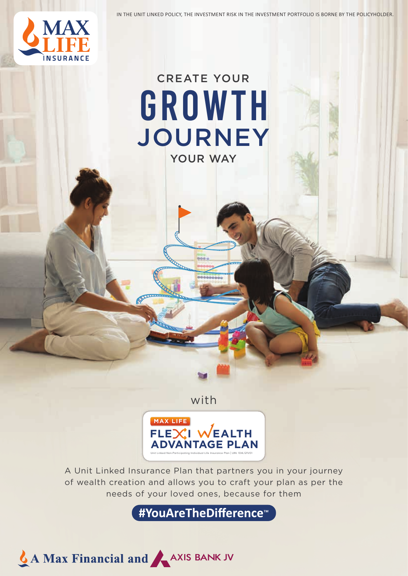IN THE UNIT LINKED POLICY, THE INVESTMENT RISK IN THE INVESTMENT PORTFOLIO IS BORNE BY THE POLICYHOLDER.



# YOUR WAY CREATE YOUR JOURNEY GROWTH

with



A Unit Linked Insurance Plan that partners you in your journey of wealth creation and allows you to craft your plan as per the needs of your loved ones, because for them

**#YouAreTheDifference<sup>™</sup>** 

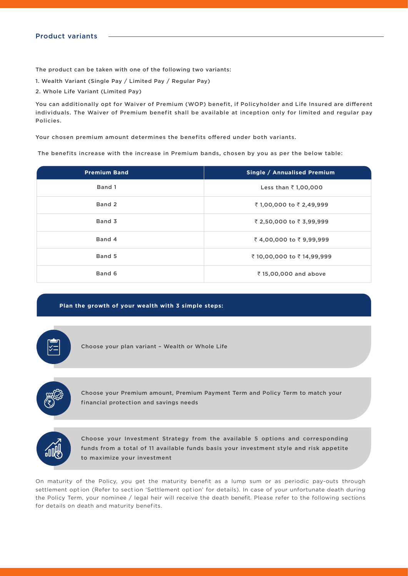#### Product variants

The product can be taken with one of the following two variants:

- 1. Wealth Variant (Single Pay / Limited Pay / Regular Pay)
- 2. Whole Life Variant (Limited Pay)

You can additionally opt for Waiver of Premium (WOP) benefit, if Policyholder and Life Insured are different individuals. The Waiver of Premium benefit shall be available at inception only for limited and regular pay Policies.

Your chosen premium amount determines the benefits offered under both variants.

The benefits increase with the increase in Premium bands, chosen by you as per the below table:

| <b>Premium Band</b> | Single / Annualised Premium |
|---------------------|-----------------------------|
| Band 1              | Less than ₹1,00,000         |
| Band 2              | ₹1,00,000 to ₹2,49,999      |
| Band 3              | ₹ 2,50,000 to ₹ 3,99,999    |
| Band 4              | ₹4,00,000 to ₹9,99,999      |
| Band 5              | ₹ 10,00,000 to ₹ 14,99,999  |
| Band 6              | ₹15,00,000 and above        |

#### **Plan the growth of your wealth with 3 simple steps:**

Choose your plan variant – Wealth or Whole Life



Choose your Premium amount, Premium Payment Term and Policy Term to match your financial protection and savings needs



Choose your Investment Strategy from the available 5 options and corresponding funds from a total of 11 available funds basis your investment style and risk appetite to maximize your investment

On maturity of the Policy, you get the maturity benefit as a lump sum or as periodic pay-outs through settlement option (Refer to section 'Settlement option' for details). In case of your unfortunate death during the Policy Term, your nominee / legal heir will receive the death benefit. Please refer to the following sections for details on death and maturity benefits.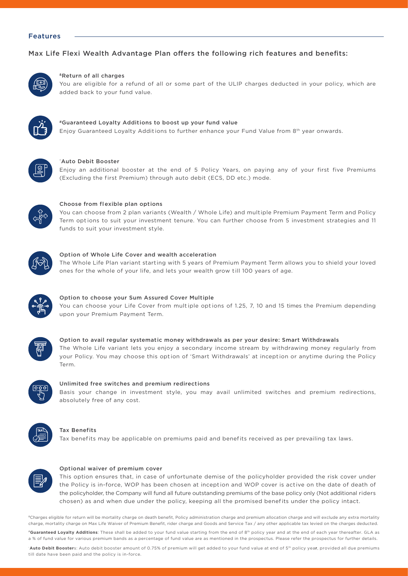#### Features

#### Max Life Flexi Wealth Advantage Plan offers the following rich features and benefits:



#### &Return of all charges

You are eligible for a refund of all or some part of the ULIP charges deducted in your policy, which are added back to your fund value.



#### #Guaranteed Loyalty Addit ions to boost up your fund value Enjoy Guaranteed Loyalty Additions to further enhance your Fund Value from 8<sup>th</sup> year onwards.



#### ~ Auto Debit Booster

Enjoy an additional booster at the end of 5 Policy Years, on paying any of your first five Premiums (Excluding the first Premium) through auto debit (ECS, DD etc.) mode.



#### Choose from flexible plan options

You can choose from 2 plan variants (Wealth / Whole Life) and multiple Premium Payment Term and Policy Term options to suit your investment tenure. You can further choose from 5 investment strategies and 11 funds to suit your investment style.



#### Option of Whole Life Cover and wealth acceleration

The Whole Life Plan variant starting with 5 years of Premium Payment Term allows you to shield your loved ones for the whole of your life, and lets your wealth grow t ill 100 years of age.



#### Option to choose your Sum Assured Cover Multiple

You can choose your Life Cover from multiple options of 1.25, 7, 10 and 15 times the Premium depending upon your Premium Payment Term.



## Option to avail regular systematic money withdrawals as per your desire: Smart Withdrawals The Whole Life variant lets you enjoy a secondary income stream by withdrawing money regularly from your Policy. You may choose this option of 'Smart Withdrawals' at inception or anytime during the Policy Term.



#### Unlimited free switches and premium redirections

Basis your change in investment style, you may avail unlimited switches and premium redirections, absolutely free of any cost.



#### **Tax Benefits**

Tax benefits may be applicable on premiums paid and benefits received as per prevailing tax laws.



#### Optional waiver of premium cover

This option ensures that, in case of unfortunate demise of the policyholder provided the risk cover under the Policy is in-force, WOP has been chosen at inception and WOP cover is active on the date of death of the policyholder, the Company will fund all future outstanding premiums of the base policy only (Not additional riders chosen) as and when due under the policy, keeping all the promised benefits under the policy intact.

&Charges eligible for return will be mortality charge on death benefit, Policy administration charge and premium allocation charge and will exclude any extra mortality charge, mortality charge on Max Life Waiver of Premium Benefit, rider charge and Goods and Service Tax / any other applicable tax levied on the charges deducted. #**Guaranteed Loyalty Additions**: These shall be added to your fund value starting from the end of 8th policy year and at the end of each year thereafter. GLA as a % of fund value for various premium bands as a percentage of fund value are as mentioned in the prospectus. Please refer the prospectus for further details.

~ **Auto Debit Booster**s: Auto debit booster amount of 0.75% of premium will get added to your fund value at end of 5th policy yea**r**, provided all due premiums till date have been paid and the policy is in-force.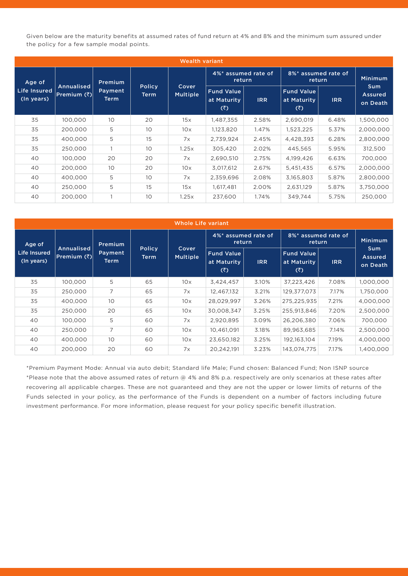Given below are the maturity benefits at assumed rates of fund return at 4% and 8% and the minimum sum assured under the policy for a few sample modal points.

| <b>Wealth variant</b>             |                                    |                        |                               |                          |                                         |            |                                         |            |                                          |
|-----------------------------------|------------------------------------|------------------------|-------------------------------|--------------------------|-----------------------------------------|------------|-----------------------------------------|------------|------------------------------------------|
| Age of                            | Premium                            |                        | 4%* assumed rate of<br>return |                          | 8%* assumed rate of<br>return           |            | <b>Minimum</b>                          |            |                                          |
| <b>Life Insured</b><br>(In years) | <b>Annualised</b><br>Premium $(3)$ | Payment<br><b>Term</b> | <b>Policy</b><br>Term         | Cover<br><b>Multiple</b> | <b>Fund Value</b><br>at Maturity<br>(3) | <b>IRR</b> | <b>Fund Value</b><br>at Maturity<br>(3) | <b>IRR</b> | <b>Sum</b><br><b>Assured</b><br>on Death |
| 35                                | 100,000                            | 10 <sup>°</sup>        | 20                            | 15x                      | 1,487,355                               | 2.58%      | 2,690,019                               | 6.48%      | 1,500,000                                |
| 35                                | 200,000                            | 5                      | 10                            | 10x                      | 1,123,820                               | 1.47%      | 1,523,225                               | 5.37%      | 2,000,000                                |
| 35                                | 400,000                            | 5                      | 15                            | 7x                       | 2,739,924                               | 2.45%      | 4,428,393                               | 6.28%      | 2,800,000                                |
| 35                                | 250,000                            |                        | 10                            | 1.25x                    | 305,420                                 | 2.02%      | 445,565                                 | 5.95%      | 312,500                                  |
| 40                                | 100,000                            | 20                     | 20                            | 7x                       | 2,690,510                               | 2.75%      | 4,199,426                               | 6.63%      | 700,000                                  |
| 40                                | 200,000                            | 10                     | 20                            | 10x                      | 3,017,612                               | 2.67%      | 5,451,435                               | 6.57%      | 2,000,000                                |
| 40                                | 400,000                            | 5                      | 10                            | 7x                       | 2,359,696                               | 2.08%      | 3,165,803                               | 5.87%      | 2,800,000                                |
| 40                                | 250,000                            | 5                      | 15                            | 15x                      | 1,617,481                               | 2.00%      | 2,631,129                               | 5.87%      | 3,750,000                                |
| 40                                | 200,000                            |                        | 10                            | 1.25x                    | 237,600                                 | 1.74%      | 349,744                                 | 5.75%      | 250,000                                  |

| <b>Whole Life variant</b>  |                           |                        |                              |                          |                                         |            |                                         |            |                                   |
|----------------------------|---------------------------|------------------------|------------------------------|--------------------------|-----------------------------------------|------------|-----------------------------------------|------------|-----------------------------------|
| Age of                     |                           | Premium                |                              | Cover<br><b>Multiple</b> | 4%* assumed rate of<br>return           |            | 8%* assumed rate of<br>return           |            | <b>Minimum</b>                    |
| Life Insured<br>(In years) | Annualised<br>Premium (₹) | Payment<br><b>Term</b> | <b>Policy</b><br><b>Term</b> |                          | <b>Fund Value</b><br>at Maturity<br>(3) | <b>IRR</b> | <b>Fund Value</b><br>at Maturity<br>(3) | <b>IRR</b> | Sum<br><b>Assured</b><br>on Death |
| 35                         | 100.000                   | 5                      | 65                           | 10x                      | 3,424,457                               | 3.10%      | 37,223,426                              | 7.08%      | 1,000,000                         |
| 35                         | 250,000                   | 7                      | 65                           | 7x                       | 12,467,132                              | 3.21%      | 129,377,073                             | 7.17%      | 1,750,000                         |
| 35                         | 400,000                   | 10                     | 65                           | 10x                      | 28,029,997                              | 3.26%      | 275,225,935                             | 7.21%      | 4,000,000                         |
| 35                         | 250,000                   | 20                     | 65                           | 10x                      | 30,008,347                              | 3.25%      | 255,913,846                             | 7.20%      | 2,500,000                         |
| 40                         | 100.000                   | 5                      | 60                           | 7x                       | 2,920,895                               | 3.09%      | 26,206,380                              | 7.06%      | 700.000                           |
| 40                         | 250,000                   | 7                      | 60                           | 10x                      | 10,461,091                              | 3.18%      | 89,963,685                              | 7.14%      | 2,500,000                         |
| 40                         | 400,000                   | 10 <sup>°</sup>        | 60                           | 10x                      | 23,650,182                              | 3.25%      | 192,163,104                             | 7.19%      | 4,000,000                         |
| 40                         | 200,000                   | 20                     | 60                           | 7x                       | 20.242.191                              | 3.23%      | 143.074.775                             | 7.17%      | 1,400,000                         |

\*Premium Payment Mode: Annual via auto debit; Standard life Male; Fund chosen: Balanced Fund; Non ISNP source \*Please note that the above assumed rates of return @ 4% and 8% p.a. respect ively are only scenarios at these rates after recovering all applicable charges. These are not guaranteed and they are not the upper or lower limits of returns of the Funds selected in your policy, as the performance of the Funds is dependent on a number of factors including future investment performance. For more information, please request for your policy specific benefit illustration.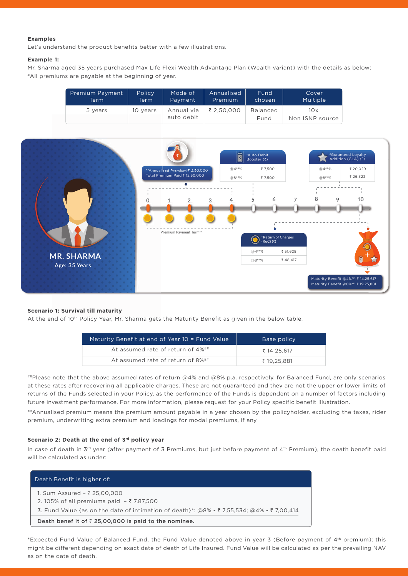#### **Examples**

Let's understand the product benefits better with a few illustrations.

#### **Example 1:**

Mr. Sharma aged 35 years purchased Max Life Flexi Wealth Advantage Plan (Wealth variant) with the details as below: #All premiums are payable at the beginning of year.

| Premium Payment | Policy   | Mode of                  | Annualised | Fund             | Cover    |
|-----------------|----------|--------------------------|------------|------------------|----------|
| Term            | Term     | Payment                  | Premium    | chosen           | Multiple |
| 5 years         | 10 vears | Annual via<br>auto debit | ₹ 2.50.000 | Balanced<br>Fund |          |



#### **Scenario 1: Survival till maturity**

At the end of 10<sup>th</sup> Policy Year, Mr. Sharma gets the Maturity Benefit as given in the below table.

| Maturity Benefit at end of Year 10 = Fund Value | Base policy |
|-------------------------------------------------|-------------|
| At assumed rate of return of 4%##               | ₹ 14.25.617 |
| At assumed rate of return of 8%##               | ₹ 19.25.881 |

##Please note that the above assumed rates of return @4% and @8% p.a. respectively, for Balanced Fund, are only scenarios at these rates after recovering all applicable charges. These are not guaranteed and they are not the upper or lower limits of returns of the Funds selected in your Policy, as the performance of the Funds is dependent on a number of factors including future investment performance. For more information, please request for your Policy specific benefit illustration.

\*\*Annualised premium means the premium amount payable in a year chosen by the policyholder, excluding the taxes, rider premium, underwriting extra premium and loadings for modal premiums, if any

#### **Scenario 2: Death at the end of 3rd policy year**

In case of death in  $3^{rd}$  year (after payment of 3 Premiums, but just before payment of  $4^{th}$  Premium), the death benefit paid will be calculated as under:

| Death Benefit is higher of:                                                                                                                                                    |
|--------------------------------------------------------------------------------------------------------------------------------------------------------------------------------|
| 1. Sum Assured - ₹ 25,00,000<br>2.105% of all premiums paid $-$ ₹ 7.87,500<br>3. Fund Value {as on the date of intimation of death}*: $@8\%$ - ₹ 7,55,534; $@4\%$ - ₹ 7,00,414 |
| Death benef it of $\bar{\tau}$ 25,00,000 is paid to the nominee.                                                                                                               |

\*Expected Fund Value of Balanced Fund, the Fund Value denoted above in year 3 (Before payment of 4th premium); this might be different depending on exact date of death of Life Insured. Fund Value will be calculated as per the prevailing NAV as on the date of death.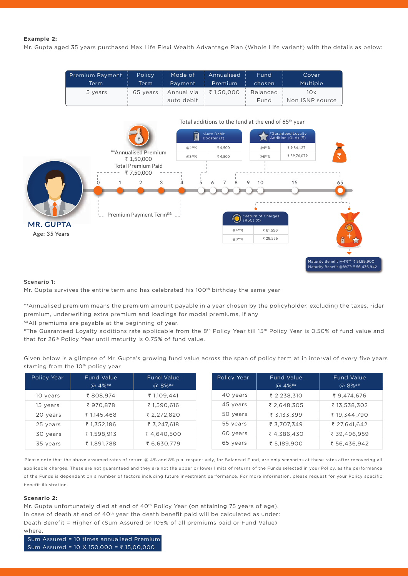#### **Example 2:**

Mr. Gupta aged 35 years purchased Max Life Flexi Wealth Advantage Plan (Whole Life variant) with the details as below:

| Premium Payment ! Policy ! Mode of ! Annualised ! Fund !<br>Term |              |                                                   | Cover<br>Multiple           |
|------------------------------------------------------------------|--------------|---------------------------------------------------|-----------------------------|
| 5 years                                                          | auto debit i | ¦ 65 years ¦ Annual via ¦ ₹ 1,50,000 ¦ Balanced ¦ | 10x<br>Fund Non ISNP source |



#### Scenario 1:

Mr. Gupta survives the entire term and has celebrated his 100<sup>th</sup> birthday the same year

\*\*Annualised premium means the premium amount payable in a year chosen by the policyholder, excluding the taxes, rider premium, underwriting extra premium and loadings for modal premiums, if any

&&All premiums are payable at the beginning of year.

#The Guaranteed Loyalty additions rate applicable from the 8<sup>th</sup> Policy Year till 15<sup>th</sup> Policy Year is 0.50% of fund value and that for 26<sup>th</sup> Policy Year until maturity is 0.75% of fund value.

Given below is a glimpse of Mr. Gupta's growing fund value across the span of policy term at in interval of every five years starting from the 10<sup>th</sup> policy year

| Policy Year | <b>Fund Value</b><br>$@4\%^{**}$ | <b>Fund Value</b><br>$@8\%$ ## | Policy Year | <b>Fund Value</b><br>@ 4%## | <b>Fund Value</b><br>@ 8%## |
|-------------|----------------------------------|--------------------------------|-------------|-----------------------------|-----------------------------|
| 10 years    | ₹808,974                         | ₹ 1,109,441                    | 40 years    | ₹ 2,238,310                 | ₹ 9,474,676                 |
| 15 years    | ₹ 970,878                        | ₹1.590.616                     | 45 years    | ₹ 2.648.305                 | ₹ 13,538,302                |
| 20 years    | ₹ 1,145,468                      | ₹ 2,272,820                    | 50 years    | ₹ 3,133,399                 | ₹ 19,344,790                |
| 25 years    | ₹ 1,352,186                      | ₹ 3,247,618                    | 55 years    | ₹ 3.707.349                 | ₹ 27,641,642                |
| 30 years    | ₹ 1,598,913                      | ₹4,640,500                     | 60 years    | ₹4,386,430                  | ₹ 39,496,959                |
| 35 years    | ₹ 1,891,788                      | ₹ 6,630,779                    | 65 years    | ₹ 5,189,900                 | ₹ 56,436,942                |

Please note that the above assumed rates of return @ 4% and 8% p.a. respectively, for Balanced Fund, are only scenarios at these rates after recovering all applicable charges. These are not guaranteed and they are not the upper or lower limits of returns of the Funds selected in your Policy, as the performance of the Funds is dependent on a number of factors including future investment performance. For more information, please request for your Policy specific benefit illustration.

#### **Scenario 2:**

Mr. Gupta unfortunately died at end of 40<sup>th</sup> Policy Year (on attaining 75 years of age). In case of death at end of  $40<sup>th</sup>$  year the death benefit paid will be calculated as under: Death Benefit = Higher of (Sum Assured or 105% of all premiums paid or Fund Value) where,

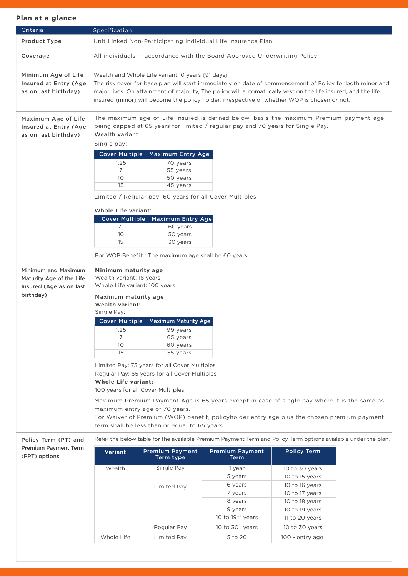| Criteria                                                                                | Specification                                                                                                                                                                                                                                                                                                                                                                                                                                                                            |                                                                                                                                                                                                                                                                                                                                                                               |                                                                                                                                                                            |                                                                                                                            |  |  |
|-----------------------------------------------------------------------------------------|------------------------------------------------------------------------------------------------------------------------------------------------------------------------------------------------------------------------------------------------------------------------------------------------------------------------------------------------------------------------------------------------------------------------------------------------------------------------------------------|-------------------------------------------------------------------------------------------------------------------------------------------------------------------------------------------------------------------------------------------------------------------------------------------------------------------------------------------------------------------------------|----------------------------------------------------------------------------------------------------------------------------------------------------------------------------|----------------------------------------------------------------------------------------------------------------------------|--|--|
| Product Type                                                                            |                                                                                                                                                                                                                                                                                                                                                                                                                                                                                          |                                                                                                                                                                                                                                                                                                                                                                               | Unit Linked Non-Participating Individual Life Insurance Plan                                                                                                               |                                                                                                                            |  |  |
| Coverage                                                                                | All individuals in accordance with the Board Approved Underwriting Policy                                                                                                                                                                                                                                                                                                                                                                                                                |                                                                                                                                                                                                                                                                                                                                                                               |                                                                                                                                                                            |                                                                                                                            |  |  |
| Minimum Age of Life<br>Insured at Entry (Age<br>as on last birthday)                    |                                                                                                                                                                                                                                                                                                                                                                                                                                                                                          | Wealth and Whole Life variant: 0 years (91 days)<br>The risk cover for base plan will start immediately on date of commencement of Policy for both minor and<br>major lives. On attainment of majority, The policy will automat ically vest on the life insured, and the life<br>insured (minor) will become the policy holder, irrespective of whether WOP is chosen or not. |                                                                                                                                                                            |                                                                                                                            |  |  |
| Maximum Age of Life<br>Insured at Entry (Age<br>as on last birthday)                    | Wealth variant<br>Single pay:<br><b>Cover Multiple</b><br>1.25<br>7<br>10<br>15                                                                                                                                                                                                                                                                                                                                                                                                          | Maximum Entry Age<br>70 years<br>55 years<br>50 years<br>45 years<br>Limited / Regular pay: 60 years for all Cover Multiples                                                                                                                                                                                                                                                  | The maximum age of Life Insured is defined below, basis the maximum Premium payment age<br>being capped at 65 years for limited / regular pay and 70 years for Single Pay. |                                                                                                                            |  |  |
|                                                                                         | Whole Life variant:<br><b>Cover Multiple</b><br>7<br>10<br>15                                                                                                                                                                                                                                                                                                                                                                                                                            | <b>Maximum Entry Age</b><br>60 years<br>50 years<br>30 years<br>For WOP Benefit: The maximum age shall be 60 years                                                                                                                                                                                                                                                            |                                                                                                                                                                            |                                                                                                                            |  |  |
| Minimum and Maximum<br>Maturity Age of the Life<br>Insured (Age as on last<br>birthday) | Minimum maturity age<br>Wealth variant: 18 years<br>Whole Life variant: 100 years<br>Maximum maturity age<br>Wealth variant:<br>Single Pay:<br><b>Cover Multiple</b><br><b>Maximum Maturity Age</b>                                                                                                                                                                                                                                                                                      |                                                                                                                                                                                                                                                                                                                                                                               |                                                                                                                                                                            |                                                                                                                            |  |  |
|                                                                                         | 1.25<br>99 years<br>$\overline{7}$<br>65 years<br>10<br>60 years<br>15<br>55 years<br>Limited Pay: 75 years for all Cover Multiples<br>Regular Pay: 65 years for all Cover Multiples<br><b>Whole Life variant:</b><br>100 years for all Cover Multiples<br>Maximum Premium Payment Age is 65 years except in case of single pay where it is the same as<br>maximum entry age of 70 years.<br>For Waiver of Premium (WOP) benefit, policyholder entry age plus the chosen premium payment |                                                                                                                                                                                                                                                                                                                                                                               |                                                                                                                                                                            |                                                                                                                            |  |  |
|                                                                                         |                                                                                                                                                                                                                                                                                                                                                                                                                                                                                          | term shall be less than or equal to 65 years.                                                                                                                                                                                                                                                                                                                                 |                                                                                                                                                                            |                                                                                                                            |  |  |
| Policy Term (PT) and<br><b>Premium Payment Term</b><br>(PPT) options                    | Variant                                                                                                                                                                                                                                                                                                                                                                                                                                                                                  | <b>Premium Payment</b><br>Term type                                                                                                                                                                                                                                                                                                                                           | Refer the below table for the available Premium Payment Term and Policy Term options available under the plan.<br><b>Premium Payment</b><br><b>Term</b>                    | <b>Policy Term</b>                                                                                                         |  |  |
|                                                                                         | Wealth                                                                                                                                                                                                                                                                                                                                                                                                                                                                                   | Single Pay<br>Limited Pay                                                                                                                                                                                                                                                                                                                                                     | 1 year<br>5 years<br>6 years<br>7 years<br>8 years<br>9 years<br>10 to $19**$ years                                                                                        | 10 to 30 years<br>10 to 15 years<br>10 to 16 years<br>10 to 17 years<br>10 to 18 years<br>10 to 19 years<br>11 to 20 years |  |  |
|                                                                                         |                                                                                                                                                                                                                                                                                                                                                                                                                                                                                          | Regular Pay                                                                                                                                                                                                                                                                                                                                                                   | 10 to 30 <sup>^</sup> years                                                                                                                                                | 10 to 30 years                                                                                                             |  |  |
|                                                                                         | Whole Life                                                                                                                                                                                                                                                                                                                                                                                                                                                                               | Limited Pay                                                                                                                                                                                                                                                                                                                                                                   | 5 to 20                                                                                                                                                                    | 100 - entry age                                                                                                            |  |  |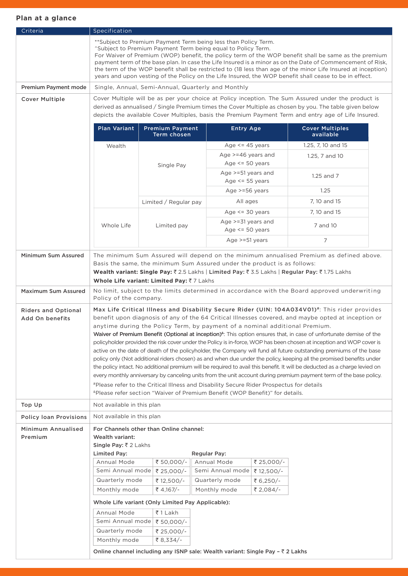| Criteria                                      | Specification                                                                                                                                                                                                                                                                                                                                                                                                                                                                                                                                                                  |                                                                                                                                                                                                                                                                                                                                                                                                                                                                                                                                                                                                                                                                                                                                                                                                                                                                                                                                                                                                                                                                                                                                              |                                                                          |            |                                                                                                                                                                                                                 |  |
|-----------------------------------------------|--------------------------------------------------------------------------------------------------------------------------------------------------------------------------------------------------------------------------------------------------------------------------------------------------------------------------------------------------------------------------------------------------------------------------------------------------------------------------------------------------------------------------------------------------------------------------------|----------------------------------------------------------------------------------------------------------------------------------------------------------------------------------------------------------------------------------------------------------------------------------------------------------------------------------------------------------------------------------------------------------------------------------------------------------------------------------------------------------------------------------------------------------------------------------------------------------------------------------------------------------------------------------------------------------------------------------------------------------------------------------------------------------------------------------------------------------------------------------------------------------------------------------------------------------------------------------------------------------------------------------------------------------------------------------------------------------------------------------------------|--------------------------------------------------------------------------|------------|-----------------------------------------------------------------------------------------------------------------------------------------------------------------------------------------------------------------|--|
|                                               | **Subject to Premium Payment Term being less than Policy Term.<br>"Subject to Premium Payment Term being equal to Policy Term.<br>For Waiver of Premium (WOP) benefit, the policy term of the WOP benefit shall be same as the premium<br>payment term of the base plan. In case the Life Insured is a minor as on the Date of Commencement of Risk,<br>the term of the WOP benefit shall be restricted to (18 less than age of the minor Life Insured at inception)<br>years and upon vesting of the Policy on the Life Insured, the WOP benefit shall cease to be in effect. |                                                                                                                                                                                                                                                                                                                                                                                                                                                                                                                                                                                                                                                                                                                                                                                                                                                                                                                                                                                                                                                                                                                                              |                                                                          |            |                                                                                                                                                                                                                 |  |
| Premium Payment mode                          |                                                                                                                                                                                                                                                                                                                                                                                                                                                                                                                                                                                |                                                                                                                                                                                                                                                                                                                                                                                                                                                                                                                                                                                                                                                                                                                                                                                                                                                                                                                                                                                                                                                                                                                                              | Single, Annual, Semi-Annual, Quarterly and Monthly                       |            |                                                                                                                                                                                                                 |  |
| <b>Cover Multiple</b>                         |                                                                                                                                                                                                                                                                                                                                                                                                                                                                                                                                                                                |                                                                                                                                                                                                                                                                                                                                                                                                                                                                                                                                                                                                                                                                                                                                                                                                                                                                                                                                                                                                                                                                                                                                              |                                                                          |            | Cover Multiple will be as per your choice at Policy inception. The Sum Assured under the product is                                                                                                             |  |
|                                               |                                                                                                                                                                                                                                                                                                                                                                                                                                                                                                                                                                                |                                                                                                                                                                                                                                                                                                                                                                                                                                                                                                                                                                                                                                                                                                                                                                                                                                                                                                                                                                                                                                                                                                                                              |                                                                          |            | derived as annualised / Single Premium times the Cover Multiple as chosen by you. The table given below<br>depicts the available Cover Multiples, basis the Premium Payment Term and entry age of Life Insured. |  |
|                                               | <b>Plan Variant</b>                                                                                                                                                                                                                                                                                                                                                                                                                                                                                                                                                            | <b>Premium Payment</b><br>Term chosen                                                                                                                                                                                                                                                                                                                                                                                                                                                                                                                                                                                                                                                                                                                                                                                                                                                                                                                                                                                                                                                                                                        | <b>Entry Age</b>                                                         |            | <b>Cover Multiples</b><br>available                                                                                                                                                                             |  |
|                                               | Wealth                                                                                                                                                                                                                                                                                                                                                                                                                                                                                                                                                                         |                                                                                                                                                                                                                                                                                                                                                                                                                                                                                                                                                                                                                                                                                                                                                                                                                                                                                                                                                                                                                                                                                                                                              | Age $\le$ 45 years                                                       |            | 1.25, 7, 10 and 15                                                                                                                                                                                              |  |
|                                               |                                                                                                                                                                                                                                                                                                                                                                                                                                                                                                                                                                                | Single Pay                                                                                                                                                                                                                                                                                                                                                                                                                                                                                                                                                                                                                                                                                                                                                                                                                                                                                                                                                                                                                                                                                                                                   | Age >=46 years and<br>Age $\le$ 50 years                                 |            | 1.25, 7 and 10                                                                                                                                                                                                  |  |
|                                               |                                                                                                                                                                                                                                                                                                                                                                                                                                                                                                                                                                                |                                                                                                                                                                                                                                                                                                                                                                                                                                                                                                                                                                                                                                                                                                                                                                                                                                                                                                                                                                                                                                                                                                                                              | Age $> = 51$ years and<br>Age $<$ = 55 years                             |            | $1.25$ and $7$                                                                                                                                                                                                  |  |
|                                               |                                                                                                                                                                                                                                                                                                                                                                                                                                                                                                                                                                                |                                                                                                                                                                                                                                                                                                                                                                                                                                                                                                                                                                                                                                                                                                                                                                                                                                                                                                                                                                                                                                                                                                                                              | Age $>=$ 56 years                                                        |            | 1.25                                                                                                                                                                                                            |  |
|                                               |                                                                                                                                                                                                                                                                                                                                                                                                                                                                                                                                                                                | Limited / Regular pay                                                                                                                                                                                                                                                                                                                                                                                                                                                                                                                                                                                                                                                                                                                                                                                                                                                                                                                                                                                                                                                                                                                        | All ages                                                                 |            | 7, 10 and 15                                                                                                                                                                                                    |  |
|                                               |                                                                                                                                                                                                                                                                                                                                                                                                                                                                                                                                                                                |                                                                                                                                                                                                                                                                                                                                                                                                                                                                                                                                                                                                                                                                                                                                                                                                                                                                                                                                                                                                                                                                                                                                              | Age $\le$ = 30 years                                                     |            | 7, 10 and 15                                                                                                                                                                                                    |  |
|                                               | Whole Life                                                                                                                                                                                                                                                                                                                                                                                                                                                                                                                                                                     | Limited pay                                                                                                                                                                                                                                                                                                                                                                                                                                                                                                                                                                                                                                                                                                                                                                                                                                                                                                                                                                                                                                                                                                                                  | Age >=31 years and<br>Age $<$ = 50 years                                 |            | 7 and 10                                                                                                                                                                                                        |  |
|                                               |                                                                                                                                                                                                                                                                                                                                                                                                                                                                                                                                                                                |                                                                                                                                                                                                                                                                                                                                                                                                                                                                                                                                                                                                                                                                                                                                                                                                                                                                                                                                                                                                                                                                                                                                              | Age $>=51$ years                                                         |            | 7                                                                                                                                                                                                               |  |
| Minimum Sum Assured                           |                                                                                                                                                                                                                                                                                                                                                                                                                                                                                                                                                                                | Whole Life variant: Limited Pay: ₹7 Lakhs                                                                                                                                                                                                                                                                                                                                                                                                                                                                                                                                                                                                                                                                                                                                                                                                                                                                                                                                                                                                                                                                                                    | Basis the same, the minimum Sum Assured under the product is as follows: |            | The minimum Sum Assured will depend on the minimum annualised Premium as defined above.<br>Wealth variant: Single Pay: ₹2.5 Lakhs   Limited Pay: ₹3.5 Lakhs   Regular Pay: ₹1.75 Lakhs                          |  |
| <b>Maximum Sum Assured</b>                    | Policy of the company.                                                                                                                                                                                                                                                                                                                                                                                                                                                                                                                                                         |                                                                                                                                                                                                                                                                                                                                                                                                                                                                                                                                                                                                                                                                                                                                                                                                                                                                                                                                                                                                                                                                                                                                              |                                                                          |            | No limit, subject to the limits determined in accordance with the Board approved underwriting                                                                                                                   |  |
| <b>Riders and Optional</b><br>Add On benefits | <sup>&amp;</sup> Please refer section "Waiver of Premium Benefit (WOP Benefit)" for details.                                                                                                                                                                                                                                                                                                                                                                                                                                                                                   | Max Life Critical Illness and Disability Secure Rider (UIN: 104A034V01)#: This rider provides<br>benefit upon diagnosis of any of the 64 Critical Illnesses covered, and maybe opted at inception or<br>anytime during the Policy Term, by payment of a nominal additional Premium.<br>Waiver of Premium Benefit (Optional at inception) <sup>8</sup> : This option ensures that, in case of unfortunate demise of the<br>policyholder provided the risk cover under the Policy is in-force, WOP has been chosen at inception and WOP cover is<br>active on the date of death of the policyholder, the Company will fund all future outstanding premiums of the base<br>policy only (Not additional riders chosen) as and when due under the policy, keeping all the promised benefits under<br>the policy intact. No additional premium will be required to avail this benefit. It will be deducted as a charge levied on<br>every monthly anniversary by canceling units from the unit account during premium payment term of the base policy.<br>#Please refer to the Critical Illness and Disability Secure Rider Prospectus for details |                                                                          |            |                                                                                                                                                                                                                 |  |
| Top Up                                        | Not available in this plan                                                                                                                                                                                                                                                                                                                                                                                                                                                                                                                                                     |                                                                                                                                                                                                                                                                                                                                                                                                                                                                                                                                                                                                                                                                                                                                                                                                                                                                                                                                                                                                                                                                                                                                              |                                                                          |            |                                                                                                                                                                                                                 |  |
| <b>Policy loan Provisions</b>                 | Not available in this plan                                                                                                                                                                                                                                                                                                                                                                                                                                                                                                                                                     |                                                                                                                                                                                                                                                                                                                                                                                                                                                                                                                                                                                                                                                                                                                                                                                                                                                                                                                                                                                                                                                                                                                                              |                                                                          |            |                                                                                                                                                                                                                 |  |
| Minimum Annualised<br>Premium                 | Wealth variant:<br>Single Pay: ₹ 2 Lakhs<br>Limited Pay:                                                                                                                                                                                                                                                                                                                                                                                                                                                                                                                       | For Channels other than Online channel:                                                                                                                                                                                                                                                                                                                                                                                                                                                                                                                                                                                                                                                                                                                                                                                                                                                                                                                                                                                                                                                                                                      | <b>Regular Pay:</b>                                                      |            |                                                                                                                                                                                                                 |  |
|                                               | Annual Mode                                                                                                                                                                                                                                                                                                                                                                                                                                                                                                                                                                    | ₹ 50,000/-                                                                                                                                                                                                                                                                                                                                                                                                                                                                                                                                                                                                                                                                                                                                                                                                                                                                                                                                                                                                                                                                                                                                   | Annual Mode                                                              | ₹ 25,000/- |                                                                                                                                                                                                                 |  |
|                                               |                                                                                                                                                                                                                                                                                                                                                                                                                                                                                                                                                                                | Semi Annual mode   ₹ 25,000/-                                                                                                                                                                                                                                                                                                                                                                                                                                                                                                                                                                                                                                                                                                                                                                                                                                                                                                                                                                                                                                                                                                                | Semi Annual mode                                                         | ₹ 12,500/- |                                                                                                                                                                                                                 |  |
|                                               | Quarterly mode                                                                                                                                                                                                                                                                                                                                                                                                                                                                                                                                                                 | ₹ 12,500/-                                                                                                                                                                                                                                                                                                                                                                                                                                                                                                                                                                                                                                                                                                                                                                                                                                                                                                                                                                                                                                                                                                                                   | Quarterly mode                                                           | ₹ 6,250/-  |                                                                                                                                                                                                                 |  |
|                                               | Monthly mode                                                                                                                                                                                                                                                                                                                                                                                                                                                                                                                                                                   | ₹4,167/-                                                                                                                                                                                                                                                                                                                                                                                                                                                                                                                                                                                                                                                                                                                                                                                                                                                                                                                                                                                                                                                                                                                                     | Monthly mode                                                             | ₹ 2,084/-  |                                                                                                                                                                                                                 |  |
|                                               |                                                                                                                                                                                                                                                                                                                                                                                                                                                                                                                                                                                | Whole Life variant (Only Limited Pay Applicable):                                                                                                                                                                                                                                                                                                                                                                                                                                                                                                                                                                                                                                                                                                                                                                                                                                                                                                                                                                                                                                                                                            |                                                                          |            |                                                                                                                                                                                                                 |  |
|                                               | Annual Mode                                                                                                                                                                                                                                                                                                                                                                                                                                                                                                                                                                    | ₹1 Lakh                                                                                                                                                                                                                                                                                                                                                                                                                                                                                                                                                                                                                                                                                                                                                                                                                                                                                                                                                                                                                                                                                                                                      |                                                                          |            |                                                                                                                                                                                                                 |  |
|                                               | Semi Annual mode                                                                                                                                                                                                                                                                                                                                                                                                                                                                                                                                                               | ₹ 50,000/-                                                                                                                                                                                                                                                                                                                                                                                                                                                                                                                                                                                                                                                                                                                                                                                                                                                                                                                                                                                                                                                                                                                                   |                                                                          |            |                                                                                                                                                                                                                 |  |
|                                               | Quarterly mode                                                                                                                                                                                                                                                                                                                                                                                                                                                                                                                                                                 | ₹ 25,000/-                                                                                                                                                                                                                                                                                                                                                                                                                                                                                                                                                                                                                                                                                                                                                                                                                                                                                                                                                                                                                                                                                                                                   |                                                                          |            |                                                                                                                                                                                                                 |  |
|                                               | Monthly mode                                                                                                                                                                                                                                                                                                                                                                                                                                                                                                                                                                   | ₹ 8,334/-                                                                                                                                                                                                                                                                                                                                                                                                                                                                                                                                                                                                                                                                                                                                                                                                                                                                                                                                                                                                                                                                                                                                    |                                                                          |            |                                                                                                                                                                                                                 |  |
|                                               |                                                                                                                                                                                                                                                                                                                                                                                                                                                                                                                                                                                | Online channel including any ISNP sale: Wealth variant: Single Pay - ₹ 2 Lakhs                                                                                                                                                                                                                                                                                                                                                                                                                                                                                                                                                                                                                                                                                                                                                                                                                                                                                                                                                                                                                                                               |                                                                          |            |                                                                                                                                                                                                                 |  |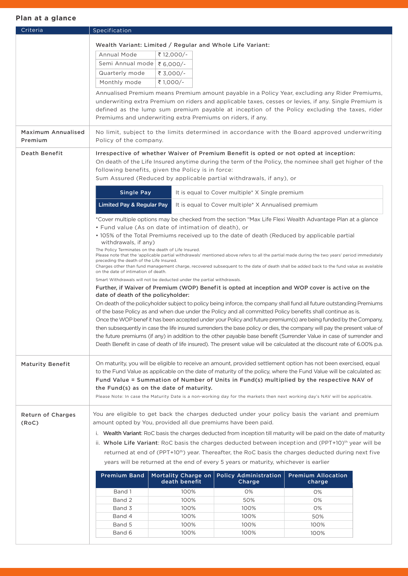| Criteria                  | Specification                                                                                                                                                                                                                   |  |  |  |  |  |
|---------------------------|---------------------------------------------------------------------------------------------------------------------------------------------------------------------------------------------------------------------------------|--|--|--|--|--|
|                           | Wealth Variant: Limited / Regular and Whole Life Variant:                                                                                                                                                                       |  |  |  |  |  |
|                           | Annual Mode<br>₹ 12,000/-                                                                                                                                                                                                       |  |  |  |  |  |
|                           | Semi Annual mode ₹ 6,000/-                                                                                                                                                                                                      |  |  |  |  |  |
|                           |                                                                                                                                                                                                                                 |  |  |  |  |  |
|                           | Quarterly mode<br>₹ 3.000/-                                                                                                                                                                                                     |  |  |  |  |  |
|                           | Monthly mode<br>₹ 1,000/-                                                                                                                                                                                                       |  |  |  |  |  |
|                           | Annualised Premium means Premium amount payable in a Policy Year, excluding any Rider Premiums,                                                                                                                                 |  |  |  |  |  |
|                           | underwriting extra Premium on riders and applicable taxes, cesses or levies, if any. Single Premium is                                                                                                                          |  |  |  |  |  |
|                           | defined as the lump sum premium payable at inception of the Policy excluding the taxes, rider                                                                                                                                   |  |  |  |  |  |
|                           | Premiums and underwriting extra Premiums on riders, if any.                                                                                                                                                                     |  |  |  |  |  |
| <b>Maximum Annualised</b> | No limit, subject to the limits determined in accordance with the Board approved underwriting                                                                                                                                   |  |  |  |  |  |
| Premium                   | Policy of the company.                                                                                                                                                                                                          |  |  |  |  |  |
| <b>Death Benefit</b>      | Irrespective of whether Waiver of Premium Benefit is opted or not opted at inception:                                                                                                                                           |  |  |  |  |  |
|                           | On death of the Life Insured anytime during the term of the Policy, the nominee shall get higher of the                                                                                                                         |  |  |  |  |  |
|                           | following benefits, given the Policy is in force:                                                                                                                                                                               |  |  |  |  |  |
|                           | Sum Assured (Reduced by applicable partial withdrawals, if any), or                                                                                                                                                             |  |  |  |  |  |
|                           | <b>Single Pay</b><br>It is equal to Cover multiple* X Single premium                                                                                                                                                            |  |  |  |  |  |
|                           | <b>Limited Pay &amp; Regular Pay</b><br>It is equal to Cover multiple* X Annualised premium                                                                                                                                     |  |  |  |  |  |
|                           |                                                                                                                                                                                                                                 |  |  |  |  |  |
|                           | *Cover multiple options may be checked from the section "Max Life Flexi Wealth Advantage Plan at a glance<br>• Fund value (As on date of intimation of death), or                                                               |  |  |  |  |  |
|                           | • 105% of the Total Premiums received up to the date of death (Reduced by applicable partial                                                                                                                                    |  |  |  |  |  |
|                           | withdrawals, if any)                                                                                                                                                                                                            |  |  |  |  |  |
|                           | The Policy Terminates on the death of Life Insured.<br>Please note that the 'applicable partial withdrawals' mentioned above refers to all the partial made during the two years' period immediately                            |  |  |  |  |  |
|                           | preceding the death of the Life Insured.                                                                                                                                                                                        |  |  |  |  |  |
|                           | Charges other than fund management charge, recovered subsequent to the date of death shall be added back to the fund value as available<br>on the date of intimation of death.                                                  |  |  |  |  |  |
|                           | Smart Withdrawals will not be deducted under the partial withdrawals.                                                                                                                                                           |  |  |  |  |  |
|                           | Further, if Waiver of Premium (WOP) Benefit is opted at inception and WOP cover is active on the                                                                                                                                |  |  |  |  |  |
|                           | date of death of the policyholder:                                                                                                                                                                                              |  |  |  |  |  |
|                           | On death of the policyholder subject to policy being inforce, the company shall fund all future outstanding Premiums                                                                                                            |  |  |  |  |  |
|                           | of the base Policy as and when due under the Policy and all committed Policy benefits shall continue as is.<br>Once the WOP benef it has been accepted under your Policy and future premium(s) are being funded by the Company, |  |  |  |  |  |
|                           | then subsequently in case the life insured surrenders the base policy or dies, the company will pay the present value of                                                                                                        |  |  |  |  |  |
|                           | the future premiums (if any) in addition to the other payable base benefit (Surrender Value in case of surrender and                                                                                                            |  |  |  |  |  |
|                           | Death Benefit in case of death of life insured). The present value will be calculated at the discount rate of 6.00% p.a.                                                                                                        |  |  |  |  |  |
|                           |                                                                                                                                                                                                                                 |  |  |  |  |  |
| <b>Maturity Benefit</b>   | On maturity, you will be eligible to receive an amount, provided settlement option has not been exercised, equal                                                                                                                |  |  |  |  |  |
|                           | to the Fund Value as applicable on the date of maturity of the policy, where the Fund Value will be calculated as:                                                                                                              |  |  |  |  |  |
|                           | Fund Value = Summation of Number of Units in Fund(s) multiplied by the respective NAV of                                                                                                                                        |  |  |  |  |  |
|                           | the Fund(s) as on the date of maturity.                                                                                                                                                                                         |  |  |  |  |  |
|                           | Please Note: In case the Maturity Date is a non-working day for the markets then next working day's NAV will be applicable.                                                                                                     |  |  |  |  |  |
|                           |                                                                                                                                                                                                                                 |  |  |  |  |  |
| <b>Return of Charges</b>  | You are eligible to get back the charges deducted under your policy basis the variant and premium<br>amount opted by You, provided all due premiums have been paid.                                                             |  |  |  |  |  |
| (RoC)                     |                                                                                                                                                                                                                                 |  |  |  |  |  |
|                           | i. Wealth Variant: RoC basis the charges deducted from inception till maturity will be paid on the date of maturity                                                                                                             |  |  |  |  |  |
|                           | ii. Whole Life Variant: RoC basis the charges deducted between inception and (PPT+10) <sup>th</sup> year will be                                                                                                                |  |  |  |  |  |
|                           | returned at end of (PPT+10 <sup>th</sup> ) year. Thereafter, the RoC basis the charges deducted during next five                                                                                                                |  |  |  |  |  |
|                           | years will be returned at the end of every 5 years or maturity, whichever is earlier                                                                                                                                            |  |  |  |  |  |
|                           | <b>Premium Band</b><br><b>Mortality Charge on</b><br><b>Policy Administration</b><br><b>Premium Allocation</b>                                                                                                                  |  |  |  |  |  |
|                           | death benefit<br>Charge<br>charge                                                                                                                                                                                               |  |  |  |  |  |
|                           | Band 1<br>100%<br>0%<br>0%                                                                                                                                                                                                      |  |  |  |  |  |
|                           | Band 2<br>100%<br>50%<br>0%                                                                                                                                                                                                     |  |  |  |  |  |
|                           | Band 3<br>100%<br>100%<br>0%                                                                                                                                                                                                    |  |  |  |  |  |
|                           | Band 4<br>100%<br>100%<br>50%                                                                                                                                                                                                   |  |  |  |  |  |
|                           | Band 5<br>100%<br>100%<br>100%                                                                                                                                                                                                  |  |  |  |  |  |
|                           | Band 6<br>100%<br>100%<br>100%                                                                                                                                                                                                  |  |  |  |  |  |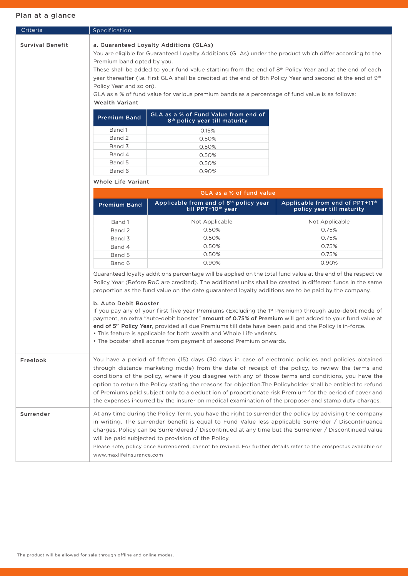| Criteria                | Specification                                                                                         |                                                                                                                                                                                                                                                                                                                                                                                                                                                                                                                                                                                                                                                                                                                                                                                                                                          |                                                              |  |  |  |  |
|-------------------------|-------------------------------------------------------------------------------------------------------|------------------------------------------------------------------------------------------------------------------------------------------------------------------------------------------------------------------------------------------------------------------------------------------------------------------------------------------------------------------------------------------------------------------------------------------------------------------------------------------------------------------------------------------------------------------------------------------------------------------------------------------------------------------------------------------------------------------------------------------------------------------------------------------------------------------------------------------|--------------------------------------------------------------|--|--|--|--|
| <b>Survival Benefit</b> | Premium band opted by you.<br>Policy Year and so on).<br><b>Wealth Variant</b><br><b>Premium Band</b> | a. Guaranteed Loyalty Additions (GLAs)<br>You are eligible for Guaranteed Loyalty Additions (GLAs) under the product which differ according to the<br>These shall be added to your fund value starting from the end of 8 <sup>th</sup> Policy Year and at the end of each<br>year thereafter (i.e. first GLA shall be credited at the end of 8th Policy Year and second at the end of 9th<br>GLA as a % of fund value for various premium bands as a percentage of fund value is as follows:<br>GLA as a % of Fund Value from end of                                                                                                                                                                                                                                                                                                     |                                                              |  |  |  |  |
|                         |                                                                                                       | 8 <sup>th</sup> policy year till maturity                                                                                                                                                                                                                                                                                                                                                                                                                                                                                                                                                                                                                                                                                                                                                                                                |                                                              |  |  |  |  |
|                         | Band 1                                                                                                | 0.15%                                                                                                                                                                                                                                                                                                                                                                                                                                                                                                                                                                                                                                                                                                                                                                                                                                    |                                                              |  |  |  |  |
|                         | Band 2                                                                                                | 0.50%                                                                                                                                                                                                                                                                                                                                                                                                                                                                                                                                                                                                                                                                                                                                                                                                                                    |                                                              |  |  |  |  |
|                         | Band 3                                                                                                | 0.50%                                                                                                                                                                                                                                                                                                                                                                                                                                                                                                                                                                                                                                                                                                                                                                                                                                    |                                                              |  |  |  |  |
|                         | Band 4                                                                                                | 0.50%                                                                                                                                                                                                                                                                                                                                                                                                                                                                                                                                                                                                                                                                                                                                                                                                                                    |                                                              |  |  |  |  |
|                         | Band 5                                                                                                | 0.50%                                                                                                                                                                                                                                                                                                                                                                                                                                                                                                                                                                                                                                                                                                                                                                                                                                    |                                                              |  |  |  |  |
|                         | Band 6                                                                                                | 0.90%                                                                                                                                                                                                                                                                                                                                                                                                                                                                                                                                                                                                                                                                                                                                                                                                                                    |                                                              |  |  |  |  |
|                         | <b>Whole Life Variant</b>                                                                             |                                                                                                                                                                                                                                                                                                                                                                                                                                                                                                                                                                                                                                                                                                                                                                                                                                          |                                                              |  |  |  |  |
|                         |                                                                                                       | GLA as a % of fund value                                                                                                                                                                                                                                                                                                                                                                                                                                                                                                                                                                                                                                                                                                                                                                                                                 |                                                              |  |  |  |  |
|                         | <b>Premium Band</b>                                                                                   | Applicable from end of 8th policy year<br>till PPT+10 <sup>th</sup> year                                                                                                                                                                                                                                                                                                                                                                                                                                                                                                                                                                                                                                                                                                                                                                 | Applicable from end of PPT+11th<br>policy year till maturity |  |  |  |  |
|                         | Band 1                                                                                                | Not Applicable                                                                                                                                                                                                                                                                                                                                                                                                                                                                                                                                                                                                                                                                                                                                                                                                                           | Not Applicable                                               |  |  |  |  |
|                         | Band 2                                                                                                | 0.50%                                                                                                                                                                                                                                                                                                                                                                                                                                                                                                                                                                                                                                                                                                                                                                                                                                    | 0.75%                                                        |  |  |  |  |
|                         | Band 3                                                                                                | 0.50%                                                                                                                                                                                                                                                                                                                                                                                                                                                                                                                                                                                                                                                                                                                                                                                                                                    | 0.75%                                                        |  |  |  |  |
|                         | Band 4                                                                                                | 0.50%                                                                                                                                                                                                                                                                                                                                                                                                                                                                                                                                                                                                                                                                                                                                                                                                                                    | 0.75%                                                        |  |  |  |  |
|                         | Band 5                                                                                                | 0.50%                                                                                                                                                                                                                                                                                                                                                                                                                                                                                                                                                                                                                                                                                                                                                                                                                                    | 0.75%                                                        |  |  |  |  |
|                         | Band 6                                                                                                | 0.90%                                                                                                                                                                                                                                                                                                                                                                                                                                                                                                                                                                                                                                                                                                                                                                                                                                    | 0.90%                                                        |  |  |  |  |
|                         | b. Auto Debit Booster                                                                                 | Guaranteed loyalty additions percentage will be applied on the total fund value at the end of the respective<br>Policy Year (Before RoC are credited). The additional units shall be created in different funds in the same<br>proportion as the fund value on the date guaranteed loyalty additions are to be paid by the company.<br>If you pay any of your first five year Premiums (Excluding the 1 <sup>st</sup> Premium) through auto-debit mode of<br>payment, an extra "auto-debit booster" amount of 0.75% of Premium will get added to your fund value at<br>end of 5 <sup>th</sup> Policy Year, provided all due Premiums till date have been paid and the Policy is in-force.<br>• This feature is applicable for both wealth and Whole Life variants.<br>• The booster shall accrue from payment of second Premium onwards. |                                                              |  |  |  |  |
| Freelook                |                                                                                                       | You have a period of fifteen (15) days (30 days in case of electronic policies and policies obtained<br>through distance marketing mode) from the date of receipt of the policy, to review the terms and<br>conditions of the policy, where if you disagree with any of those terms and conditions, you have the<br>option to return the Policy stating the reasons for objection. The Policyholder shall be entitled to refund<br>of Premiums paid subject only to a deduct ion of proportionate risk Premium for the period of cover and<br>the expenses incurred by the insurer on medical examination of the proposer and stamp duty charges.                                                                                                                                                                                        |                                                              |  |  |  |  |
| Surrender               |                                                                                                       | At any time during the Policy Term, you have the right to surrender the policy by advising the company<br>in writing. The surrender benefit is equal to Fund Value less applicable Surrender / Discontinuance<br>charges. Policy can be Surrendered / Discontinued at any time but the Surrender / Discontinued value<br>will be paid subjected to provision of the Policy.<br>Please note, policy once Surrendered, cannot be revived. For further details refer to the prospectus available on<br>www.maxlifeinsurance.com                                                                                                                                                                                                                                                                                                             |                                                              |  |  |  |  |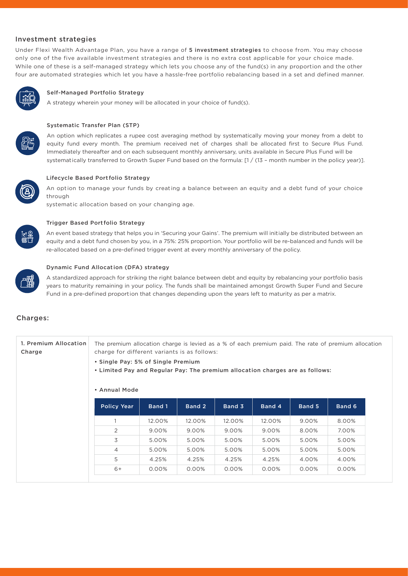#### Investment strategies

Under Flexi Wealth Advantage Plan, you have a range of 5 investment strategies to choose from. You may choose only one of the five available investment strategies and there is no extra cost applicable for your choice made. While one of these is a self-managed strategy which lets you choose any of the fund(s) in any proportion and the other four are automated strategies which let you have a hassle-free portfolio rebalancing based in a set and defined manner.



#### Self-Managed Portfolio Strategy

A strategy wherein your money will be allocated in your choice of fund(s).



## Systematic Transfer Plan (STP)

An option which replicates a rupee cost averaging method by systematically moving your money from a debt to equity fund every month. The premium received net of charges shall be allocated first to Secure Plus Fund. Immediately thereafter and on each subsequent monthly anniversary, units available in Secure Plus Fund will be systematically transferred to Growth Super Fund based on the formula: [1 / (13 - month number in the policy year)].



#### Lifecycle Based Port folio Strategy

An option to manage your funds by creating a balance between an equity and a debt fund of your choice through

systematic allocation based on your changing age.



#### Trigger Based Port folio Strategy

An event based strategy that helps you in 'Securing your Gains'. The premium will init ially be distributed between an equity and a debt fund chosen by you, in a 75%: 25% proportion. Your portfolio will be re-balanced and funds will be re-allocated based on a pre-defined trigger event at every monthly anniversary of the policy.



#### Dynamic Fund Allocat ion (DFA) strategy

A standardized approach for striking the right balance between debt and equity by rebalancing your portfolio basis years to maturity remaining in your policy. The funds shall be maintained amongst Growth Super Fund and Secure Fund in a pre-defined proportion that changes depending upon the years left to maturity as per a matrix.

#### Charges:

| 1. Premium Allocation<br>Charge | The premium allocation charge is levied as a % of each premium paid. The rate of premium allocation<br>charge for different variants is as follows:<br>• Single Pay: 5% of Single Premium<br>• Limited Pay and Regular Pay: The premium allocation charges are as follows:<br>• Annual Mode |        |        |        |        |        |        |  |
|---------------------------------|---------------------------------------------------------------------------------------------------------------------------------------------------------------------------------------------------------------------------------------------------------------------------------------------|--------|--------|--------|--------|--------|--------|--|
|                                 | <b>Policy Year</b>                                                                                                                                                                                                                                                                          | Band 1 | Band 2 | Band 3 | Band 4 | Band 5 | Band 6 |  |
|                                 |                                                                                                                                                                                                                                                                                             | 12.00% | 12.00% | 12.00% | 12.00% | 9.00%  | 8.00%  |  |
|                                 | 2                                                                                                                                                                                                                                                                                           | 9.00%  | 9.00%  | 9.00%  | 9.00%  | 8.00%  | 7.00%  |  |
|                                 | 3                                                                                                                                                                                                                                                                                           | 5.00%  | 5.00%  | 5.00%  | 5.00%  | 5.00%  | 5.00%  |  |
|                                 | 4                                                                                                                                                                                                                                                                                           | 5.00%  | 5.00%  | 5.00%  | 5.00%  | 5.00%  | 5.00%  |  |
|                                 | 5                                                                                                                                                                                                                                                                                           | 4.25%  | 4.25%  | 4.25%  | 4.25%  | 4.00%  | 4.00%  |  |
|                                 | $6+$                                                                                                                                                                                                                                                                                        | 0.00%  | 0.00%  | 0.00%  | 0.00%  | 0.00%  | 0.00%  |  |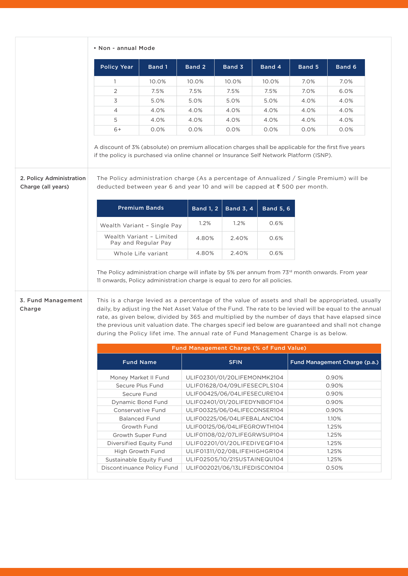|  |  |  | • Non - annual Mode |  |
|--|--|--|---------------------|--|
|--|--|--|---------------------|--|

|                                                | <b>Policy Year</b>                                                                                                                                                                                                                                                                                                                                                                                                                                                                            | <b>Band 1</b>                                   | Band 2                       | Band 3                                                        | Band 4           | Band 5 | Band 6                                                                                                                                                                                                       |
|------------------------------------------------|-----------------------------------------------------------------------------------------------------------------------------------------------------------------------------------------------------------------------------------------------------------------------------------------------------------------------------------------------------------------------------------------------------------------------------------------------------------------------------------------------|-------------------------------------------------|------------------------------|---------------------------------------------------------------|------------------|--------|--------------------------------------------------------------------------------------------------------------------------------------------------------------------------------------------------------------|
|                                                | $\mathbf{1}$                                                                                                                                                                                                                                                                                                                                                                                                                                                                                  | 10.0%                                           | 10.0%                        | 10.0%                                                         | 10.0%            | 7.0%   | 7.0%                                                                                                                                                                                                         |
|                                                | 2                                                                                                                                                                                                                                                                                                                                                                                                                                                                                             | 7.5%                                            | 7.5%                         | 7.5%                                                          | 7.5%             | 7.0%   | 6.0%                                                                                                                                                                                                         |
|                                                | 3                                                                                                                                                                                                                                                                                                                                                                                                                                                                                             | 5.0%                                            | 5.0%                         | 5.0%                                                          | 5.0%             | 4.0%   | 4.0%                                                                                                                                                                                                         |
|                                                | 4                                                                                                                                                                                                                                                                                                                                                                                                                                                                                             | 4.0%                                            | 4.0%                         | 4.0%                                                          | 4.0%             | 4.0%   | 4.0%                                                                                                                                                                                                         |
|                                                |                                                                                                                                                                                                                                                                                                                                                                                                                                                                                               |                                                 |                              |                                                               |                  |        |                                                                                                                                                                                                              |
|                                                | 5                                                                                                                                                                                                                                                                                                                                                                                                                                                                                             | 4.0%                                            | 4.0%                         | 4.0%                                                          | 4.0%             | 4.0%   | 4.0%                                                                                                                                                                                                         |
|                                                | $6+$                                                                                                                                                                                                                                                                                                                                                                                                                                                                                          | 0.0%                                            | 0.0%                         | 0.0%                                                          | 0.0%             | 0.0%   | 0.0%                                                                                                                                                                                                         |
|                                                | A discount of 3% (absolute) on premium allocation charges shall be applicable for the first five years<br>if the policy is purchased via online channel or Insurance Self Network Platform (ISNP).                                                                                                                                                                                                                                                                                            |                                                 |                              |                                                               |                  |        |                                                                                                                                                                                                              |
| 2. Policy Administration<br>Charge (all years) | The Policy administration charge (As a percentage of Annualized / Single Premium) will be<br>deducted between year 6 and year 10 and will be capped at ₹500 per month.                                                                                                                                                                                                                                                                                                                        |                                                 |                              |                                                               |                  |        |                                                                                                                                                                                                              |
|                                                |                                                                                                                                                                                                                                                                                                                                                                                                                                                                                               | <b>Premium Bands</b>                            | <b>Band 1, 2</b>             | <b>Band 3, 4</b>                                              | <b>Band 5, 6</b> |        |                                                                                                                                                                                                              |
|                                                |                                                                                                                                                                                                                                                                                                                                                                                                                                                                                               | Wealth Variant - Single Pay                     | 1.2%                         | 1.2%                                                          | 0.6%             |        |                                                                                                                                                                                                              |
|                                                |                                                                                                                                                                                                                                                                                                                                                                                                                                                                                               | Wealth Variant - Limited<br>Pay and Regular Pay | 4.80%                        | 2.40%                                                         | 0.6%             |        |                                                                                                                                                                                                              |
|                                                |                                                                                                                                                                                                                                                                                                                                                                                                                                                                                               | Whole Life variant                              | 4.80%                        | 2.40%                                                         | 0.6%             |        |                                                                                                                                                                                                              |
| 3. Fund Management<br>Charge                   | The Policy administration charge will inflate by 5% per annum from 73 <sup>rd</sup> month onwards. From year<br>11 onwards, Policy administration charge is equal to zero for all policies.<br>This is a charge levied as a percentage of the value of assets and shall be appropriated, usually<br>the previous unit valuation date. The charges specif ied below are guaranteed and shall not change<br>during the Policy lifet ime. The annual rate of Fund Management Charge is as below. |                                                 |                              |                                                               |                  |        | daily, by adjust ing the Net Asset Value of the Fund. The rate to be levied will be equal to the annual<br>rate, as given below, divided by 365 and multiplied by the number of days that have elapsed since |
|                                                |                                                                                                                                                                                                                                                                                                                                                                                                                                                                                               |                                                 |                              | Fund Management Charge (% of Fund Value)                      |                  |        |                                                                                                                                                                                                              |
|                                                |                                                                                                                                                                                                                                                                                                                                                                                                                                                                                               | <b>Fund Name</b>                                |                              | <b>SFIN</b>                                                   |                  |        | Fund Management Charge (p.a.)                                                                                                                                                                                |
|                                                |                                                                                                                                                                                                                                                                                                                                                                                                                                                                                               | Money Market II Fund                            |                              | ULIF02301/01/20LIFEMONMK2104                                  |                  |        | 0.90%                                                                                                                                                                                                        |
|                                                |                                                                                                                                                                                                                                                                                                                                                                                                                                                                                               | Secure Plus Fund                                | ULIF01628/04/09LIFESECPLS104 |                                                               |                  | 0.90%  |                                                                                                                                                                                                              |
|                                                |                                                                                                                                                                                                                                                                                                                                                                                                                                                                                               | Secure Fund                                     |                              | ULIF00425/06/04LIFESECURE104                                  |                  |        |                                                                                                                                                                                                              |
|                                                | <b>Dynamic Bond Fund</b>                                                                                                                                                                                                                                                                                                                                                                                                                                                                      |                                                 | ULIF02401/01/20LIFEDYNBOF104 |                                                               |                  | 0.90%  |                                                                                                                                                                                                              |
|                                                |                                                                                                                                                                                                                                                                                                                                                                                                                                                                                               |                                                 |                              |                                                               |                  | 0.90%  |                                                                                                                                                                                                              |
|                                                |                                                                                                                                                                                                                                                                                                                                                                                                                                                                                               | Conservative Fund                               |                              | ULIF00325/06/04LIFECONSER104                                  |                  |        | 0.90%                                                                                                                                                                                                        |
|                                                |                                                                                                                                                                                                                                                                                                                                                                                                                                                                                               | <b>Balanced Fund</b>                            |                              | ULIF00225/06/04LIFEBALANC104                                  |                  |        | 1.10%                                                                                                                                                                                                        |
|                                                |                                                                                                                                                                                                                                                                                                                                                                                                                                                                                               | Growth Fund                                     |                              | ULIF00125/06/04LIFEGROWTH104                                  |                  |        | 1.25%                                                                                                                                                                                                        |
|                                                |                                                                                                                                                                                                                                                                                                                                                                                                                                                                                               | Growth Super Fund                               |                              | ULIF01108/02/07LIFEGRWSUP104                                  |                  |        | 1.25%                                                                                                                                                                                                        |
|                                                |                                                                                                                                                                                                                                                                                                                                                                                                                                                                                               | Diversified Equity Fund                         |                              | ULIF02201/01/20LIFEDIVEQF104                                  |                  |        | 1.25%                                                                                                                                                                                                        |
|                                                |                                                                                                                                                                                                                                                                                                                                                                                                                                                                                               | High Growth Fund                                |                              | ULIF01311/02/08LIFEHIGHGR104                                  |                  |        | 1.25%                                                                                                                                                                                                        |
|                                                | Sustainable Equity Fund                                                                                                                                                                                                                                                                                                                                                                                                                                                                       | Discontinuance Policy Fund                      |                              | ULIF02505/10/21SUSTAINEQU104<br>ULIF002021/06/13LIFEDISCON104 |                  |        | 1.25%<br>0.50%                                                                                                                                                                                               |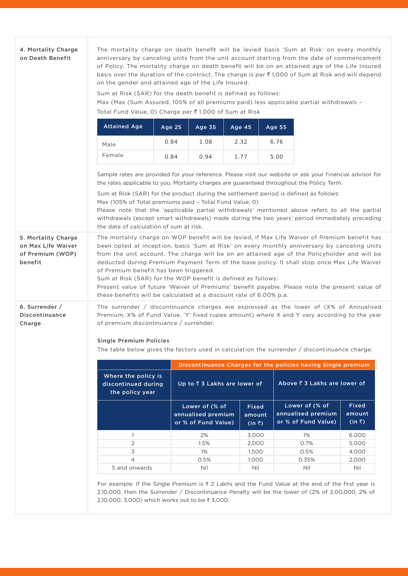| on Death Benefit                                                         | The mortality charge on death benefit will be levied basis 'Sum at Risk' on every monthly<br>anniversary by canceling units from the unit account starting from the date of commencement<br>of Policy. The mortality charge on death benefit will be on an attained age of the Life Insured<br>basis over the duration of the contract. The charge is per $\bar{\tau}$ 1,000 of Sum at Risk and will depend<br>on the gender and attained age of the Life Insured.                                                                                                                                        |               |                                                             |        |                                          |                                                               |                                   |  |
|--------------------------------------------------------------------------|-----------------------------------------------------------------------------------------------------------------------------------------------------------------------------------------------------------------------------------------------------------------------------------------------------------------------------------------------------------------------------------------------------------------------------------------------------------------------------------------------------------------------------------------------------------------------------------------------------------|---------------|-------------------------------------------------------------|--------|------------------------------------------|---------------------------------------------------------------|-----------------------------------|--|
|                                                                          | Sum at Risk (SAR) for the death benefit is defined as follows:<br>Max (Max (Sum Assured, 105% of all premiums paid) less applicable partial withdrawals -<br>Total Fund Value, 0) Charge per ₹1,000 of Sum at Risk                                                                                                                                                                                                                                                                                                                                                                                        |               |                                                             |        |                                          |                                                               |                                   |  |
|                                                                          | <b>Attained Age</b>                                                                                                                                                                                                                                                                                                                                                                                                                                                                                                                                                                                       | <b>Age 25</b> | Age 35                                                      | Age 45 |                                          | <b>Age 55</b>                                                 |                                   |  |
|                                                                          | Male                                                                                                                                                                                                                                                                                                                                                                                                                                                                                                                                                                                                      | 0.84          | 1.08                                                        | 2.32   |                                          | 6.76                                                          |                                   |  |
|                                                                          | Female                                                                                                                                                                                                                                                                                                                                                                                                                                                                                                                                                                                                    | 0.84          | 0.94                                                        | 1.77   |                                          | 5.00                                                          |                                   |  |
|                                                                          | Sample rates are provided for your reference. Please visit our website or ask your financial advisor for<br>the rates applicable to you. Mortality charges are guaranteed throughout the Policy Term.<br>Sum at Risk (SAR) for the product during the settlement period is defined as follows:<br>Max (105% of Total premiums paid - Total Fund Value, 0)<br>Please note that the 'applicable partial withdrawals' mentioned above refers to all the partial<br>withdrawals (except smart withdrawals) made during the two years' period immediately preceding<br>the date of calculation of sum at risk. |               |                                                             |        |                                          |                                                               |                                   |  |
| 5. Mortality Charge<br>on Max Life Waiver<br>of Premium (WOP)<br>benefit | The mortality charge on WOP benefit will be levied, if Max Life Waiver of Premium benefit has<br>been opted at inception, basis 'Sum at Risk' on every monthly anniversary by canceling units<br>from the unit account. The charge will be on an attained age of the Policyholder and will be<br>deducted during Premium Payment Term of the base policy. It shall stop once Max Life Waiver<br>of Premium benefit has been triggered.<br>Sum at Risk (SAR) for the WOP benefit is defined as follows:                                                                                                    |               |                                                             |        |                                          |                                                               |                                   |  |
|                                                                          | Present value of future 'Waiver of Premiums' benefit payable. Please note the present value of<br>these benefits will be calculated at a discount rate of 6.00% p.a.                                                                                                                                                                                                                                                                                                                                                                                                                                      |               |                                                             |        |                                          |                                                               |                                   |  |
| 6. Surrender /<br>Discontinuance<br>Charge                               | The surrender / discontinuance charges are expressed as the lower of $(X\%$ of Annualised<br>Premium, X% of Fund Value, 'Y' fixed rupee amount) where X and Y vary according to the year<br>of premium discontinuance / surrender.<br><b>Single Premium Policies</b><br>The table below gives the factors used in calculation the surrender / discontinuance charge:                                                                                                                                                                                                                                      |               |                                                             |        |                                          |                                                               |                                   |  |
|                                                                          |                                                                                                                                                                                                                                                                                                                                                                                                                                                                                                                                                                                                           |               |                                                             |        |                                          | Discontinuance Charges for the policies having Single premium |                                   |  |
|                                                                          | Where the policy is<br>discontinued during<br>the policy year                                                                                                                                                                                                                                                                                                                                                                                                                                                                                                                                             |               | Up to ₹ 3 Lakhs are lower of                                |        |                                          | Above ₹ 3 Lakhs are lower of                                  |                                   |  |
|                                                                          |                                                                                                                                                                                                                                                                                                                                                                                                                                                                                                                                                                                                           |               | Lower of (% of<br>annualised premium<br>or % of Fund Value) |        | <b>Fixed</b><br>amount<br>$(in \bar{z})$ | Lower of (% of<br>annualised premium<br>or % of Fund Value)   | Fixed<br>amount<br>$(in \bar{z})$ |  |
|                                                                          | 1                                                                                                                                                                                                                                                                                                                                                                                                                                                                                                                                                                                                         |               | 2%                                                          |        | 3,000                                    | 1%                                                            | 6,000                             |  |
|                                                                          | $\overline{2}$                                                                                                                                                                                                                                                                                                                                                                                                                                                                                                                                                                                            |               | 1.5%                                                        |        | 2,000                                    | 0.7%                                                          | 5,000                             |  |
|                                                                          | 3                                                                                                                                                                                                                                                                                                                                                                                                                                                                                                                                                                                                         |               | 1%                                                          |        | 1,500                                    | 0.5%                                                          | 4,000                             |  |
|                                                                          | $\overline{4}$                                                                                                                                                                                                                                                                                                                                                                                                                                                                                                                                                                                            |               | 0.5%                                                        |        | 1,000                                    | 0.35%                                                         | 2,000                             |  |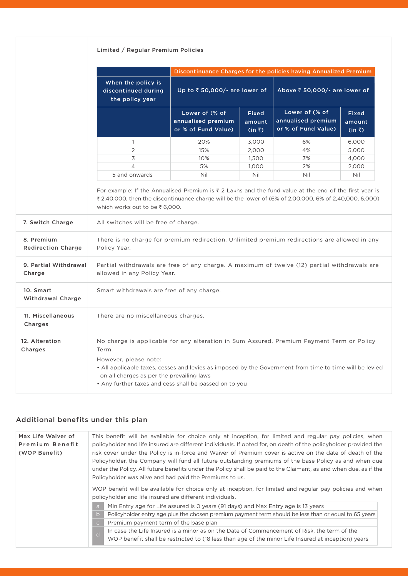## Limited / Regular Premium Policies

|                                       |                                                                                                                                                                                                                                         | Discontinuance Charges for the policies having Annualized Premium |                                          |                                                             |                                   |  |  |
|---------------------------------------|-----------------------------------------------------------------------------------------------------------------------------------------------------------------------------------------------------------------------------------------|-------------------------------------------------------------------|------------------------------------------|-------------------------------------------------------------|-----------------------------------|--|--|
|                                       | When the policy is<br>discontinued during<br>the policy year                                                                                                                                                                            | Up to ₹50,000/- are lower of                                      |                                          | Above ₹ 50,000/- are lower of                               |                                   |  |  |
|                                       |                                                                                                                                                                                                                                         | Lower of (% of<br>annualised premium<br>or % of Fund Value)       | <b>Fixed</b><br>amount<br>$(in \bar{z})$ | Lower of (% of<br>annualised premium<br>or % of Fund Value) | Fixed<br>amount<br>$(in \bar{z})$ |  |  |
|                                       | 1                                                                                                                                                                                                                                       | 20%                                                               | 3,000                                    | 6%                                                          | 6,000                             |  |  |
|                                       | $\overline{2}$                                                                                                                                                                                                                          | 15%                                                               | 2,000                                    | 4%                                                          | 5,000                             |  |  |
|                                       | 3                                                                                                                                                                                                                                       | 10%                                                               | 1,500                                    | 3%                                                          | 4,000                             |  |  |
|                                       | $\overline{4}$                                                                                                                                                                                                                          | 5%                                                                | 1,000                                    | 2%                                                          | 2,000                             |  |  |
|                                       | 5 and onwards                                                                                                                                                                                                                           | Nil                                                               | Nil                                      | Nil                                                         | Nil                               |  |  |
| 7. Switch Charge<br>8. Premium        | All switches will be free of charge.<br>There is no charge for premium redirection. Unlimited premium redirections are allowed in any                                                                                                   |                                                                   |                                          |                                                             |                                   |  |  |
| <b>Redirection Charge</b>             | Policy Year.                                                                                                                                                                                                                            |                                                                   |                                          |                                                             |                                   |  |  |
| 9. Partial Withdrawal<br>Charge       | Partial withdrawals are free of any charge. A maximum of twelve (12) partial withdrawals are<br>allowed in any Policy Year.                                                                                                             |                                                                   |                                          |                                                             |                                   |  |  |
| 10. Smart<br><b>Withdrawal Charge</b> | Smart withdrawals are free of any charge.                                                                                                                                                                                               |                                                                   |                                          |                                                             |                                   |  |  |
| 11. Miscellaneous<br>Charges          | There are no miscellaneous charges.                                                                                                                                                                                                     |                                                                   |                                          |                                                             |                                   |  |  |
| 12. Alteration<br>Charges             | No charge is applicable for any alteration in Sum Assured, Premium Payment Term or Policy<br>Term.                                                                                                                                      |                                                                   |                                          |                                                             |                                   |  |  |
|                                       | However, please note:<br>• All applicable taxes, cesses and levies as imposed by the Government from time to time will be levied<br>on all charges as per the prevailing laws<br>• Any further taxes and cess shall be passed on to you |                                                                   |                                          |                                                             |                                   |  |  |

## Additional benefits under this plan

| Max Life Waiver of<br>Premium Benefit<br>(WOP Benefit) | This benefit will be available for choice only at inception, for limited and regular pay policies, when<br>policyholder and life insured are different individuals. If opted for, on death of the policyholder provided the<br>risk cover under the Policy is in-force and Waiver of Premium cover is active on the date of death of the<br>Policyholder, the Company will fund all future outstanding premiums of the base Policy as and when due<br>under the Policy. All future benefits under the Policy shall be paid to the Claimant, as and when due, as if the<br>Policyholder was alive and had paid the Premiums to us. |
|--------------------------------------------------------|-----------------------------------------------------------------------------------------------------------------------------------------------------------------------------------------------------------------------------------------------------------------------------------------------------------------------------------------------------------------------------------------------------------------------------------------------------------------------------------------------------------------------------------------------------------------------------------------------------------------------------------|
|                                                        | WOP benefit will be available for choice only at inception, for limited and regular pay policies and when<br>policyholder and life insured are different individuals.                                                                                                                                                                                                                                                                                                                                                                                                                                                             |
|                                                        | Min Entry age for Life assured is 0 years (91 days) and Max Entry age is 13 years<br>a                                                                                                                                                                                                                                                                                                                                                                                                                                                                                                                                            |
|                                                        | Policyholder entry age plus the chosen premium payment term should be less than or equal to 65 years<br>$\mathsf{b}$                                                                                                                                                                                                                                                                                                                                                                                                                                                                                                              |
|                                                        | Premium payment term of the base plan<br>$\overline{C}$                                                                                                                                                                                                                                                                                                                                                                                                                                                                                                                                                                           |
|                                                        | In case the Life Insured is a minor as on the Date of Commencement of Risk, the term of the<br>$\overline{d}$<br>WOP benefit shall be restricted to (18 less than age of the minor Life Insured at inception) years                                                                                                                                                                                                                                                                                                                                                                                                               |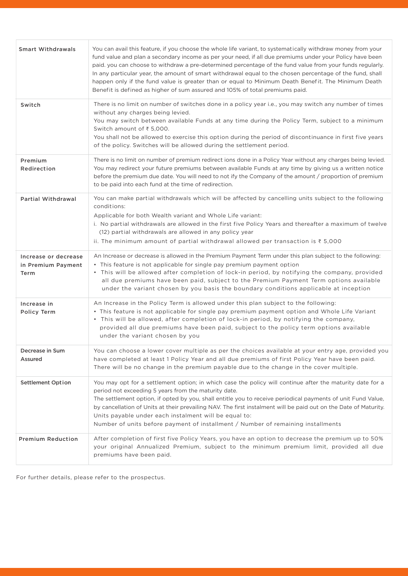| <b>Smart Withdrawals</b>                           | You can avail this feature, if you choose the whole life variant, to systematically withdraw money from your<br>fund value and plan a secondary income as per your need, if all due premiums under your Policy have been<br>paid. you can choose to withdraw a pre-determined percentage of the fund value from your funds regularly.<br>In any particular year, the amount of smart withdrawal equal to the chosen percentage of the fund, shall<br>happen only if the fund value is greater than or equal to Minimum Death Benefit. The Minimum Death<br>Benefit is defined as higher of sum assured and 105% of total premiums paid. |
|----------------------------------------------------|-----------------------------------------------------------------------------------------------------------------------------------------------------------------------------------------------------------------------------------------------------------------------------------------------------------------------------------------------------------------------------------------------------------------------------------------------------------------------------------------------------------------------------------------------------------------------------------------------------------------------------------------|
| Switch                                             | There is no limit on number of switches done in a policy year i.e., you may switch any number of times<br>without any charges being levied.<br>You may switch between available Funds at any time during the Policy Term, subject to a minimum<br>Switch amount of ₹ 5,000.<br>You shall not be allowed to exercise this option during the period of discontinuance in first five years<br>of the policy. Switches will be allowed during the settlement period.                                                                                                                                                                        |
| Premium<br>Redirection                             | There is no limit on number of premium redirect ions done in a Policy Year without any charges being levied.<br>You may redirect your future premiums between available Funds at any time by giving us a written notice<br>before the premium due date. You will need to not ify the Company of the amount / proportion of premium<br>to be paid into each fund at the time of redirection.                                                                                                                                                                                                                                             |
| Partial Withdrawal                                 | You can make partial withdrawals which will be affected by cancelling units subject to the following<br>conditions:<br>Applicable for both Wealth variant and Whole Life variant:<br>i. No partial withdrawals are allowed in the first five Policy Years and thereafter a maximum of twelve<br>(12) partial withdrawals are allowed in any policy year<br>ii. The minimum amount of partial withdrawal allowed per transaction is $\overline{\epsilon}$ 5,000                                                                                                                                                                          |
| Increase or decrease<br>in Premium Payment<br>Term | An Increase or decrease is allowed in the Premium Payment Term under this plan subject to the following:<br>• This feature is not applicable for single pay premium payment option<br>• This will be allowed after completion of lock-in period, by notifying the company, provided<br>all due premiums have been paid, subject to the Premium Payment Term options available<br>under the variant chosen by you basis the boundary conditions applicable at inception                                                                                                                                                                  |
| Increase in<br>Policy Term                         | An Increase in the Policy Term is allowed under this plan subject to the following:<br>• This feature is not applicable for single pay premium payment option and Whole Life Variant<br>• This will be allowed, after completion of lock-in period, by notifying the company,<br>provided all due premiums have been paid, subject to the policy term options available<br>under the variant chosen by you                                                                                                                                                                                                                              |
| Decrease in Sum<br>Assured                         | You can choose a lower cover multiple as per the choices available at your entry age, provided you<br>have completed at least 1 Policy Year and all due premiums of first Policy Year have been paid.<br>There will be no change in the premium payable due to the change in the cover multiple.                                                                                                                                                                                                                                                                                                                                        |
| <b>Settlement Option</b>                           | You may opt for a settlement option; in which case the policy will continue after the maturity date for a<br>period not exceeding 5 years from the maturity date.<br>The settlement option, if opted by you, shall entitle you to receive periodical payments of unit Fund Value,<br>by cancellation of Units at their prevailing NAV. The first instalment will be paid out on the Date of Maturity.<br>Units payable under each instalment will be equal to:<br>Number of units before payment of installment / Number of remaining installments                                                                                      |
| <b>Premium Reduction</b>                           | After completion of first five Policy Years, you have an option to decrease the premium up to 50%<br>your original Annualized Premium, subject to the minimum premium limit, provided all due<br>premiums have been paid.                                                                                                                                                                                                                                                                                                                                                                                                               |

For further details, please refer to the prospectus.